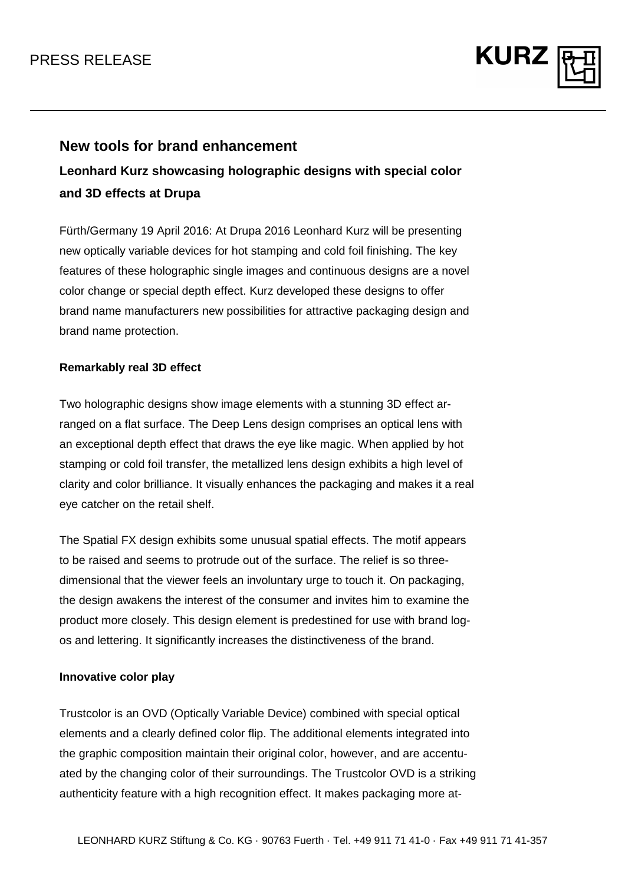

# **New tools for brand enhancement**

**Leonhard Kurz showcasing holographic designs with special color and 3D effects at Drupa** 

Fürth/Germany 19 April 2016: At Drupa 2016 Leonhard Kurz will be presenting new optically variable devices for hot stamping and cold foil finishing. The key features of these holographic single images and continuous designs are a novel color change or special depth effect. Kurz developed these designs to offer brand name manufacturers new possibilities for attractive packaging design and brand name protection.

## **Remarkably real 3D effect**

Two holographic designs show image elements with a stunning 3D effect arranged on a flat surface. The Deep Lens design comprises an optical lens with an exceptional depth effect that draws the eye like magic. When applied by hot stamping or cold foil transfer, the metallized lens design exhibits a high level of clarity and color brilliance. It visually enhances the packaging and makes it a real eye catcher on the retail shelf.

The Spatial FX design exhibits some unusual spatial effects. The motif appears to be raised and seems to protrude out of the surface. The relief is so threedimensional that the viewer feels an involuntary urge to touch it. On packaging, the design awakens the interest of the consumer and invites him to examine the product more closely. This design element is predestined for use with brand logos and lettering. It significantly increases the distinctiveness of the brand.

### **Innovative color play**

Trustcolor is an OVD (Optically Variable Device) combined with special optical elements and a clearly defined color flip. The additional elements integrated into the graphic composition maintain their original color, however, and are accentuated by the changing color of their surroundings. The Trustcolor OVD is a striking authenticity feature with a high recognition effect. It makes packaging more at-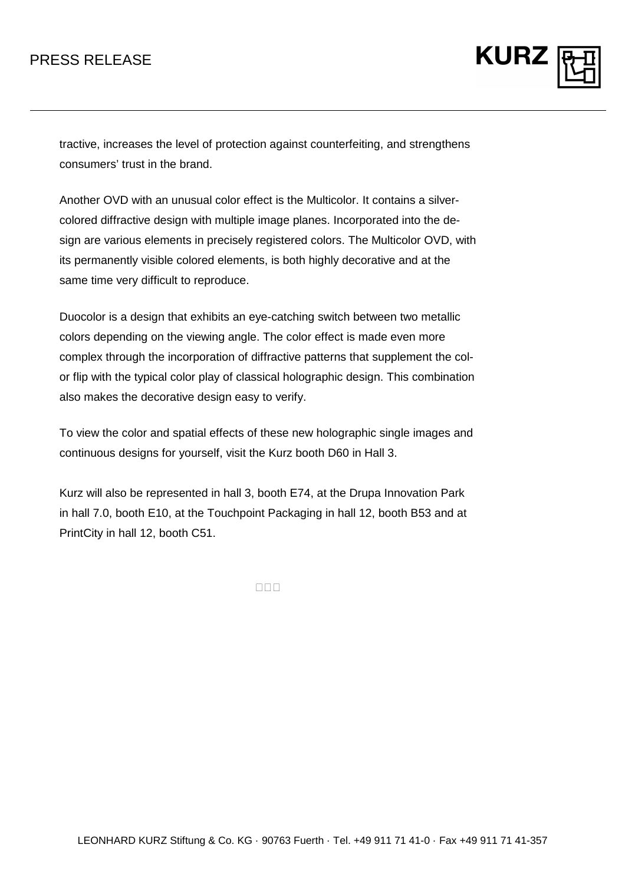

tractive, increases the level of protection against counterfeiting, and strengthens consumers' trust in the brand.

Another OVD with an unusual color effect is the Multicolor. It contains a silvercolored diffractive design with multiple image planes. Incorporated into the design are various elements in precisely registered colors. The Multicolor OVD, with its permanently visible colored elements, is both highly decorative and at the same time very difficult to reproduce.

Duocolor is a design that exhibits an eye-catching switch between two metallic colors depending on the viewing angle. The color effect is made even more complex through the incorporation of diffractive patterns that supplement the color flip with the typical color play of classical holographic design. This combination also makes the decorative design easy to verify.

To view the color and spatial effects of these new holographic single images and continuous designs for yourself, visit the Kurz booth D60 in Hall 3.

Kurz will also be represented in hall 3, booth E74, at the Drupa Innovation Park in hall 7.0, booth E10, at the Touchpoint Packaging in hall 12, booth B53 and at PrintCity in hall 12, booth C51.